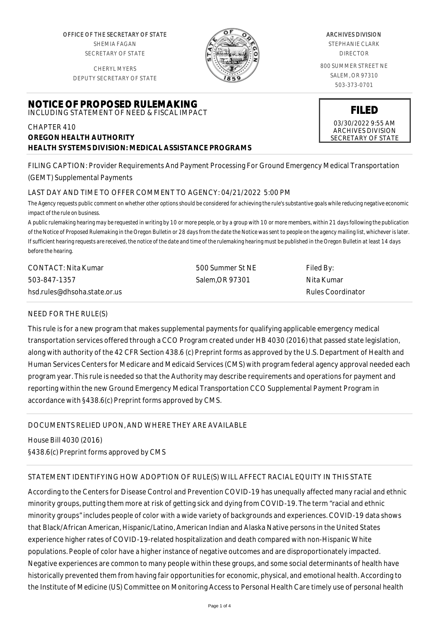OFFICE OF THE SECRETARY OF STATE SHEMIA FAGAN SECRETARY OF STATE

CHERYL MYERS DEPUTY SECRETARY OF STATE

## **NOTICE OF PROPOSED RULEMAKING** INCLUDING STATEMENT OF NEED & FISCAL IMPACT

# CHAPTER 410 **OREGON HEALTH AUTHORITY HEALTH SYSTEMS DIVISION: MEDICAL ASSISTANCE PROGRAMS**

ARCHIVES DIVISION

STEPHANIE CLARK DIRECTOR

800 SUMMER STREET NE SALEM, OR 97310 503-373-0701

#### **FILED** 03/30/2022 9:55 AM ARCHIVES DIVISION SECRETARY OF STATE

FILING CAPTION: Provider Requirements And Payment Processing For Ground Emergency Medical Transportation (GEMT) Supplemental Payments

# LAST DAY AND TIME TO OFFER COMMENT TO AGENCY: 04/21/2022 5:00 PM

*The Agency requests public comment on whether other options should be considered for achieving the rule's substantive goals while reducing negative economic impact of the rule on business.*

*A public rulemaking hearing may be requested in writing by 10 or more people, or by a group with 10 or more members, within 21 days following the publication of the Notice of Proposed Rulemaking in the Oregon Bulletin or 28 days from the date the Notice was sent to people on the agency mailing list, whichever is later. If sufficient hearing requests are received, the notice of the date and time of the rulemaking hearing must be published in the Oregon Bulletin at least 14 days before the hearing.*

| CONTACT: Nita Kumar          | 500 Summer St NE | Filed By:         |
|------------------------------|------------------|-------------------|
| 503-847-1357                 | Salem.OR 97301   | -Nita Kumar       |
| hsd.rules@dhsoha.state.or.us |                  | Rules Coordinator |

## NEED FOR THE RULE(S)

This rule is for a new program that makes supplemental payments for qualifying applicable emergency medical transportation services offered through a CCO Program created under HB 4030 (2016) that passed state legislation, along with authority of the 42 CFR Section 438.6 (c) Preprint forms as approved by the U.S. Department of Health and Human Services Centers for Medicare and Medicaid Services (CMS) with program federal agency approval needed each program year. This rule is needed so that the Authority may describe requirements and operations for payment and reporting within the new Ground Emergency Medical Transportation CCO Supplemental Payment Program in accordance with §438.6(c) Preprint forms approved by CMS.

DOCUMENTS RELIED UPON, AND WHERE THEY ARE AVAILABLE

House Bill 4030 (2016)

§438.6(c) Preprint forms approved by CMS

# STATEMENT IDENTIFYING HOW ADOPTION OF RULE(S) WILL AFFECT RACIAL EQUITY IN THIS STATE

According to the Centers for Disease Control and Prevention COVID-19 has unequally affected many racial and ethnic minority groups, putting them more at risk of getting sick and dying from COVID-19. The term "racial and ethnic minority groups" includes people of color with a wide variety of backgrounds and experiences. COVID-19 data shows that Black/African American, Hispanic/Latino, American Indian and Alaska Native persons in the United States experience higher rates of COVID-19-related hospitalization and death compared with non-Hispanic White populations. People of color have a higher instance of negative outcomes and are disproportionately impacted. Negative experiences are common to many people within these groups, and some social determinants of health have historically prevented them from having fair opportunities for economic, physical, and emotional health. According to the Institute of Medicine (US) Committee on Monitoring Access to Personal Health Care timely use of personal health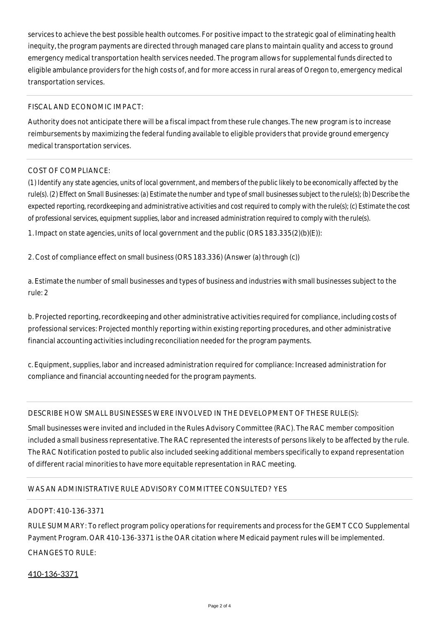services to achieve the best possible health outcomes. For positive impact to the strategic goal of eliminating health inequity, the program payments are directed through managed care plans to maintain quality and access to ground emergency medical transportation health services needed. The program allows for supplemental funds directed to eligible ambulance providers for the high costs of, and for more access in rural areas of Oregon to, emergency medical transportation services.

#### FISCAL AND ECONOMIC IMPACT:

Authority does not anticipate there will be a fiscal impact from these rule changes. The new program is to increase reimbursements by maximizing the federal funding available to eligible providers that provide ground emergency medical transportation services.

#### COST OF COMPLIANCE:

*(1) Identify any state agencies, units of local government, and members of the public likely to be economically affected by the rule(s). (2) Effect on Small Businesses: (a) Estimate the number and type of small businesses subject to the rule(s); (b) Describe the expected reporting, recordkeeping and administrative activities and cost required to comply with the rule(s); (c) Estimate the cost of professional services, equipment supplies, labor and increased administration required to comply with the rule(s).*

1. Impact on state agencies, units of local government and the public (ORS 183.335(2)(b)(E)):

2. Cost of compliance effect on small business (ORS 183.336) (Answer (a) through (c))

a. Estimate the number of small businesses and types of business and industries with small businesses subject to the rule: 2

b. Projected reporting, recordkeeping and other administrative activities required for compliance, including costs of professional services: Projected monthly reporting within existing reporting procedures, and other administrative financial accounting activities including reconciliation needed for the program payments.

c. Equipment, supplies, labor and increased administration required for compliance: Increased administration for compliance and financial accounting needed for the program payments.

DESCRIBE HOW SMALL BUSINESSES WERE INVOLVED IN THE DEVELOPMENT OF THESE RULE(S):

Small businesses were invited and included in the Rules Advisory Committee (RAC). The RAC member composition included a small business representative. The RAC represented the interests of persons likely to be affected by the rule. The RAC Notification posted to public also included seeking additional members specifically to expand representation of different racial minorities to have more equitable representation in RAC meeting.

## WAS AN ADMINISTRATIVE RULE ADVISORY COMMITTEE CONSULTED? YES

## ADOPT: 410-136-3371

RULE SUMMARY: To reflect program policy operations for requirements and process for the GEMT CCO Supplemental Payment Program. OAR 410-136-3371 is the OAR citation where Medicaid payment rules will be implemented. CHANGES TO RULE:

## 410-136-3371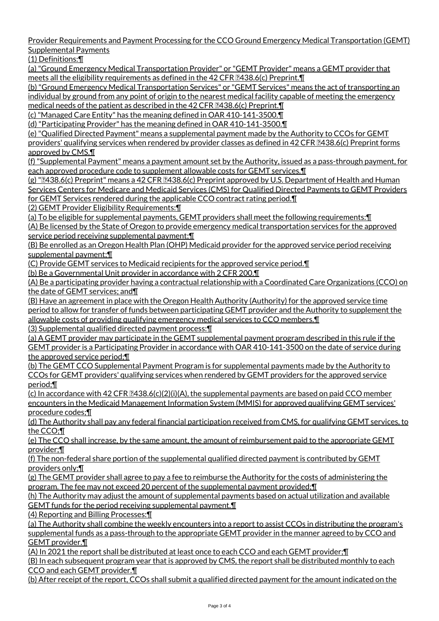Provider Requirements and Payment Processing for the CCO Ground Emergency Medical Transportation (GEMT) Supplemental Payments

(1) Definitions:¶

(a) "Ground Emergency Medical Transportation Provider" or "GEMT Provider" means a GEMT provider that meets all the eligibility requirements as defined in the 42 CFR  $[3438.6(c)$  Preprint.  $\P$ 

(b) "Ground Emergency Medical Transportation Services" or "GEMT Services" means the act of transporting an individual by ground from any point of origin to the nearest medical facility capable of meeting the emergency medical needs of the patient as described in the 42 CFR  $2438.6(c)$  Preprint.  $\P$ 

(c) "Managed Care Entity" has the meaning defined in OAR 410-141-3500.¶

(d) "Participating Provider" has the meaning defined in OAR 410-141-3500.¶

(e) "Qualified Directed Payment" means a supplemental payment made by the Authority to CCOs for GEMT providers' qualifying services when rendered by provider classes as defined in 42 CFR 2438.6(c) Preprint forms approved by CMS.¶

(f) "Supplemental Payment" means a payment amount set by the Authority, issued as a pass-through payment, for each approved procedure code to supplement allowable costs for GEMT services.¶

(g) " $2438.6$ (c) Preprint" means a 42 CFR  $2438.6$ (c) Preprint approved by U.S. Department of Health and Human Services Centers for Medicare and Medicaid Services (CMS) for Qualified Directed Payments to GEMT Providers for GEMT Services rendered during the applicable CCO contract rating period.¶

(2) GEMT Provider Eligibility Requirements:¶

(a) To be eligible for supplemental payments, GEMT providers shall meet the following requirements:¶ (A) Be licensed by the State of Oregon to provide emergency medical transportation services for the approved service period receiving supplemental payment;¶

(B) Be enrolled as an Oregon Health Plan (OHP) Medicaid provider for the approved service period receiving supplemental payment;¶

(C) Provide GEMT services to Medicaid recipients for the approved service period.¶

(b) Be a Governmental Unit provider in accordance with 2 CFR 200.¶

(A) Be a participating provider having a contractual relationship with a Coordinated Care Organizations (CCO) on the date of GEMT services; and¶

(B) Have an agreement in place with the Oregon Health Authority (Authority) for the approved service time period to allow for transfer of funds between participating GEMT provider and the Authority to supplement the allowable costs of providing qualifying emergency medical services to CCO members.¶ (3) Supplemental qualified directed payment process:¶

(a) A GEMT provider may participate in the GEMT supplemental payment program described in this rule if the GEMT provider is a Participating Provider in accordance with OAR 410-141-3500 on the date of service during the approved service period;¶

(b) The GEMT CCO Supplemental Payment Program is for supplemental payments made by the Authority to CCOs for GEMT providers' qualifying services when rendered by GEMT providers for the approved service period;¶

(c) In accordance with 42 CFR  $[3438.6(c)(2)(i)(A)$ , the supplemental payments are based on paid CCO member encounters in the Medicaid Management Information System (MMIS) for approved qualifying GEMT services' procedure codes;¶

(d) The Authority shall pay any federal financial participation received from CMS, for qualifying GEMT services, to the CCO;¶

(e) The CCO shall increase, by the same amount, the amount of reimbursement paid to the appropriate GEMT provider;¶

(f) The non-federal share portion of the supplemental qualified directed payment is contributed by GEMT providers only;¶

(g) The GEMT provider shall agree to pay a fee to reimburse the Authority for the costs of administering the program. The fee may not exceed 20 percent of the supplemental payment provided;¶

(h) The Authority may adjust the amount of supplemental payments based on actual utilization and available GEMT funds for the period receiving supplemental payment.¶

(4) Reporting and Billing Processes:¶

(a) The Authority shall combine the weekly encounters into a report to assist CCOs in distributing the program's supplemental funds as a pass-through to the appropriate GEMT provider in the manner agreed to by CCO and GEMT provider.¶

(A) In 2021 the report shall be distributed at least once to each CCO and each GEMT provider;¶

(B) In each subsequent program year that is approved by CMS, the report shall be distributed monthly to each CCO and each GEMT provider.¶

(b) After receipt of the report, CCOs shall submit a qualified directed payment for the amount indicated on the